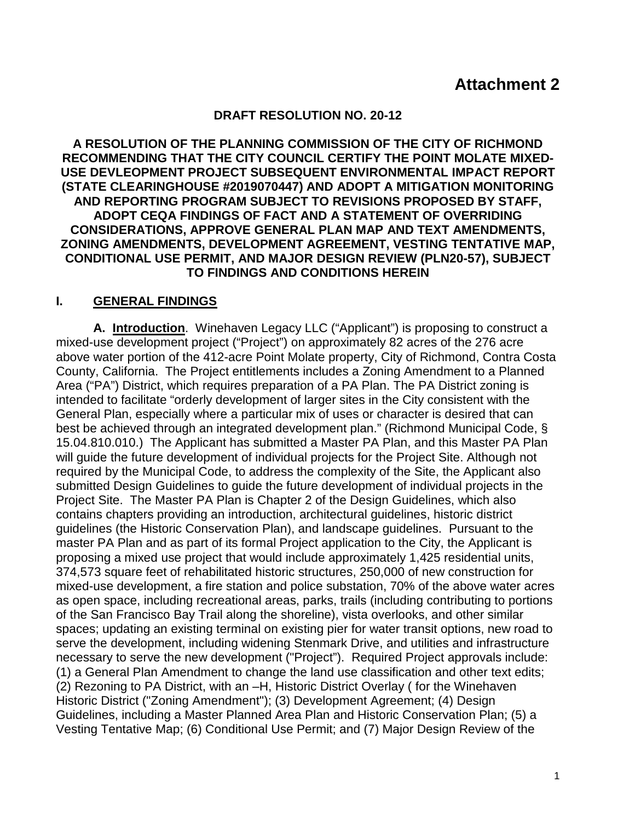#### **DRAFT RESOLUTION NO. 20-12**

**A RESOLUTION OF THE PLANNING COMMISSION OF THE CITY OF RICHMOND RECOMMENDING THAT THE CITY COUNCIL CERTIFY THE POINT MOLATE MIXED-USE DEVLEOPMENT PROJECT SUBSEQUENT ENVIRONMENTAL IMPACT REPORT (STATE CLEARINGHOUSE #2019070447) AND ADOPT A MITIGATION MONITORING AND REPORTING PROGRAM SUBJECT TO REVISIONS PROPOSED BY STAFF, ADOPT CEQA FINDINGS OF FACT AND A STATEMENT OF OVERRIDING CONSIDERATIONS, APPROVE GENERAL PLAN MAP AND TEXT AMENDMENTS, ZONING AMENDMENTS, DEVELOPMENT AGREEMENT, VESTING TENTATIVE MAP, CONDITIONAL USE PERMIT, AND MAJOR DESIGN REVIEW (PLN20-57), SUBJECT TO FINDINGS AND CONDITIONS HEREIN**

### **I. GENERAL FINDINGS**

**A. Introduction**. Winehaven Legacy LLC ("Applicant") is proposing to construct a mixed-use development project ("Project") on approximately 82 acres of the 276 acre above water portion of the 412-acre Point Molate property, City of Richmond, Contra Costa County, California. The Project entitlements includes a Zoning Amendment to a Planned Area ("PA") District, which requires preparation of a PA Plan. The PA District zoning is intended to facilitate "orderly development of larger sites in the City consistent with the General Plan, especially where a particular mix of uses or character is desired that can best be achieved through an integrated development plan." (Richmond Municipal Code, § 15.04.810.010.) The Applicant has submitted a Master PA Plan, and this Master PA Plan will guide the future development of individual projects for the Project Site. Although not required by the Municipal Code, to address the complexity of the Site, the Applicant also submitted Design Guidelines to guide the future development of individual projects in the Project Site. The Master PA Plan is Chapter 2 of the Design Guidelines, which also contains chapters providing an introduction, architectural guidelines, historic district guidelines (the Historic Conservation Plan), and landscape guidelines. Pursuant to the master PA Plan and as part of its formal Project application to the City, the Applicant is proposing a mixed use project that would include approximately 1,425 residential units, 374,573 square feet of rehabilitated historic structures, 250,000 of new construction for mixed-use development, a fire station and police substation, 70% of the above water acres as open space, including recreational areas, parks, trails (including contributing to portions of the San Francisco Bay Trail along the shoreline), vista overlooks, and other similar spaces; updating an existing terminal on existing pier for water transit options, new road to serve the development, including widening Stenmark Drive, and utilities and infrastructure necessary to serve the new development ("Project"). Required Project approvals include: (1) a General Plan Amendment to change the land use classification and other text edits; (2) Rezoning to PA District, with an –H, Historic District Overlay ( for the Winehaven Historic District ("Zoning Amendment"); (3) Development Agreement; (4) Design Guidelines, including a Master Planned Area Plan and Historic Conservation Plan; (5) a Vesting Tentative Map; (6) Conditional Use Permit; and (7) Major Design Review of the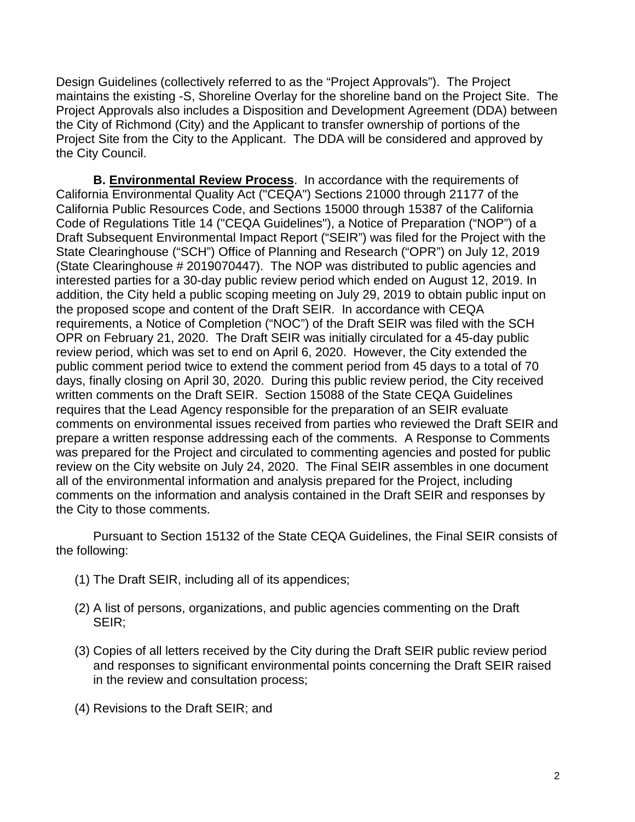Design Guidelines (collectively referred to as the "Project Approvals"). The Project maintains the existing -S, Shoreline Overlay for the shoreline band on the Project Site. The Project Approvals also includes a Disposition and Development Agreement (DDA) between the City of Richmond (City) and the Applicant to transfer ownership of portions of the Project Site from the City to the Applicant. The DDA will be considered and approved by the City Council.

**B. Environmental Review Process**. In accordance with the requirements of California Environmental Quality Act ("CEQA") Sections 21000 through 21177 of the California Public Resources Code, and Sections 15000 through 15387 of the California Code of Regulations Title 14 ("CEQA Guidelines"), a Notice of Preparation ("NOP") of a Draft Subsequent Environmental Impact Report ("SEIR") was filed for the Project with the State Clearinghouse ("SCH") Office of Planning and Research ("OPR") on July 12, 2019 (State Clearinghouse # 2019070447). The NOP was distributed to public agencies and interested parties for a 30-day public review period which ended on August 12, 2019. In addition, the City held a public scoping meeting on July 29, 2019 to obtain public input on the proposed scope and content of the Draft SEIR. In accordance with CEQA requirements, a Notice of Completion ("NOC") of the Draft SEIR was filed with the SCH OPR on February 21, 2020. The Draft SEIR was initially circulated for a 45-day public review period, which was set to end on April 6, 2020. However, the City extended the public comment period twice to extend the comment period from 45 days to a total of 70 days, finally closing on April 30, 2020. During this public review period, the City received written comments on the Draft SEIR. Section 15088 of the State CEQA Guidelines requires that the Lead Agency responsible for the preparation of an SEIR evaluate comments on environmental issues received from parties who reviewed the Draft SEIR and prepare a written response addressing each of the comments. A Response to Comments was prepared for the Project and circulated to commenting agencies and posted for public review on the City website on July 24, 2020. The Final SEIR assembles in one document all of the environmental information and analysis prepared for the Project, including comments on the information and analysis contained in the Draft SEIR and responses by the City to those comments.

Pursuant to Section 15132 of the State CEQA Guidelines, the Final SEIR consists of the following:

- (1) The Draft SEIR, including all of its appendices;
- (2) A list of persons, organizations, and public agencies commenting on the Draft SEIR;
- (3) Copies of all letters received by the City during the Draft SEIR public review period and responses to significant environmental points concerning the Draft SEIR raised in the review and consultation process;
- (4) Revisions to the Draft SEIR; and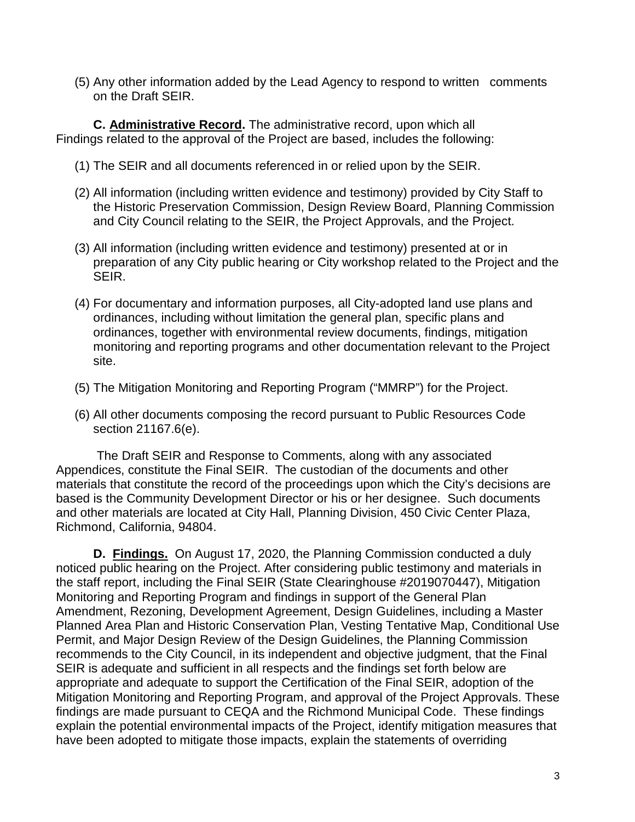(5) Any other information added by the Lead Agency to respond to written comments on the Draft SEIR.

**C. Administrative Record.** The administrative record, upon which all Findings related to the approval of the Project are based, includes the following:

- (1) The SEIR and all documents referenced in or relied upon by the SEIR.
- (2) All information (including written evidence and testimony) provided by City Staff to the Historic Preservation Commission, Design Review Board, Planning Commission and City Council relating to the SEIR, the Project Approvals, and the Project.
- (3) All information (including written evidence and testimony) presented at or in preparation of any City public hearing or City workshop related to the Project and the SEIR.
- (4) For documentary and information purposes, all City-adopted land use plans and ordinances, including without limitation the general plan, specific plans and ordinances, together with environmental review documents, findings, mitigation monitoring and reporting programs and other documentation relevant to the Project site.
- (5) The Mitigation Monitoring and Reporting Program ("MMRP") for the Project.
- (6) All other documents composing the record pursuant to Public Resources Code section 21167.6(e).

The Draft SEIR and Response to Comments, along with any associated Appendices, constitute the Final SEIR. The custodian of the documents and other materials that constitute the record of the proceedings upon which the City's decisions are based is the Community Development Director or his or her designee. Such documents and other materials are located at City Hall, Planning Division, 450 Civic Center Plaza, Richmond, California, 94804.

**D. Findings.** On August 17, 2020, the Planning Commission conducted a duly noticed public hearing on the Project. After considering public testimony and materials in the staff report, including the Final SEIR (State Clearinghouse #2019070447), Mitigation Monitoring and Reporting Program and findings in support of the General Plan Amendment, Rezoning, Development Agreement, Design Guidelines, including a Master Planned Area Plan and Historic Conservation Plan, Vesting Tentative Map, Conditional Use Permit, and Major Design Review of the Design Guidelines, the Planning Commission recommends to the City Council, in its independent and objective judgment, that the Final SEIR is adequate and sufficient in all respects and the findings set forth below are appropriate and adequate to support the Certification of the Final SEIR, adoption of the Mitigation Monitoring and Reporting Program, and approval of the Project Approvals. These findings are made pursuant to CEQA and the Richmond Municipal Code. These findings explain the potential environmental impacts of the Project, identify mitigation measures that have been adopted to mitigate those impacts, explain the statements of overriding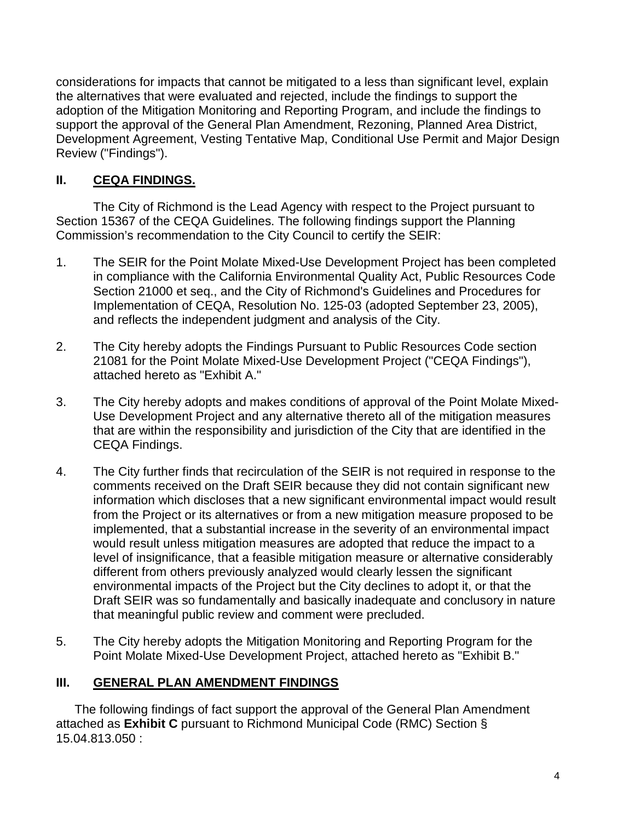considerations for impacts that cannot be mitigated to a less than significant level, explain the alternatives that were evaluated and rejected, include the findings to support the adoption of the Mitigation Monitoring and Reporting Program, and include the findings to support the approval of the General Plan Amendment, Rezoning, Planned Area District, Development Agreement, Vesting Tentative Map, Conditional Use Permit and Major Design Review ("Findings").

# **II. CEQA FINDINGS.**

The City of Richmond is the Lead Agency with respect to the Project pursuant to Section 15367 of the CEQA Guidelines. The following findings support the Planning Commission's recommendation to the City Council to certify the SEIR:

- 1. The SEIR for the Point Molate Mixed-Use Development Project has been completed in compliance with the California Environmental Quality Act, Public Resources Code Section 21000 et seq., and the City of Richmond's Guidelines and Procedures for Implementation of CEQA, Resolution No. 125-03 (adopted September 23, 2005), and reflects the independent judgment and analysis of the City.
- 2. The City hereby adopts the Findings Pursuant to Public Resources Code section 21081 for the Point Molate Mixed-Use Development Project ("CEQA Findings"), attached hereto as "Exhibit A."
- 3. The City hereby adopts and makes conditions of approval of the Point Molate Mixed-Use Development Project and any alternative thereto all of the mitigation measures that are within the responsibility and jurisdiction of the City that are identified in the CEQA Findings.
- 4. The City further finds that recirculation of the SEIR is not required in response to the comments received on the Draft SEIR because they did not contain significant new information which discloses that a new significant environmental impact would result from the Project or its alternatives or from a new mitigation measure proposed to be implemented, that a substantial increase in the severity of an environmental impact would result unless mitigation measures are adopted that reduce the impact to a level of insignificance, that a feasible mitigation measure or alternative considerably different from others previously analyzed would clearly lessen the significant environmental impacts of the Project but the City declines to adopt it, or that the Draft SEIR was so fundamentally and basically inadequate and conclusory in nature that meaningful public review and comment were precluded.
- 5. The City hereby adopts the Mitigation Monitoring and Reporting Program for the Point Molate Mixed-Use Development Project, attached hereto as "Exhibit B."

## **III. GENERAL PLAN AMENDMENT FINDINGS**

The following findings of fact support the approval of the General Plan Amendment attached as **Exhibit C** pursuant to Richmond Municipal Code (RMC) Section § 15.04.813.050 :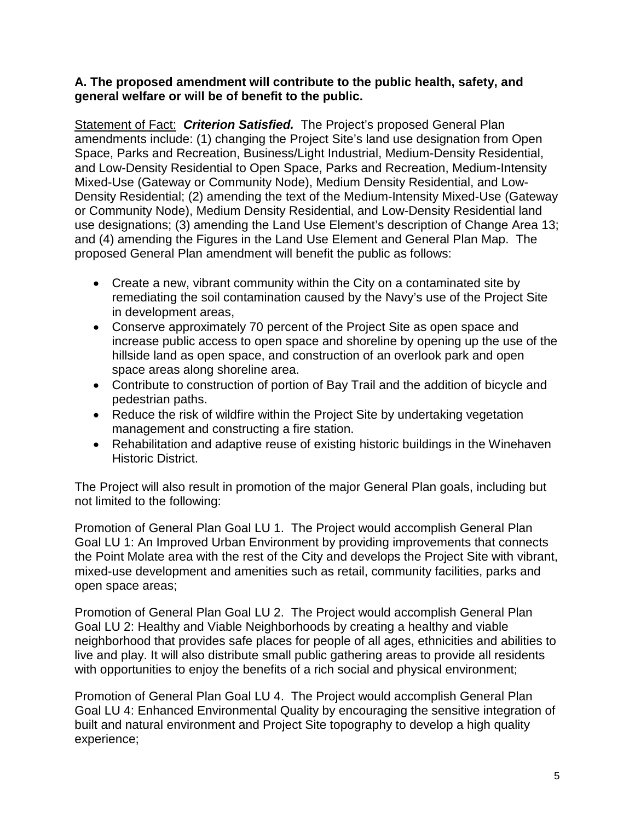#### **A. The proposed amendment will contribute to the public health, safety, and general welfare or will be of benefit to the public.**

Statement of Fact:*Criterion Satisfied.*The Project's proposed General Plan amendments include: (1) changing the Project Site's land use designation from Open Space, Parks and Recreation, Business/Light Industrial, Medium-Density Residential, and Low-Density Residential to Open Space, Parks and Recreation, Medium-Intensity Mixed-Use (Gateway or Community Node), Medium Density Residential, and Low-Density Residential; (2) amending the text of the Medium-Intensity Mixed-Use (Gateway or Community Node), Medium Density Residential, and Low-Density Residential land use designations; (3) amending the Land Use Element's description of Change Area 13; and (4) amending the Figures in the Land Use Element and General Plan Map. The proposed General Plan amendment will benefit the public as follows:

- Create a new, vibrant community within the City on a contaminated site by remediating the soil contamination caused by the Navy's use of the Project Site in development areas,
- Conserve approximately 70 percent of the Project Site as open space and increase public access to open space and shoreline by opening up the use of the hillside land as open space, and construction of an overlook park and open space areas along shoreline area.
- Contribute to construction of portion of Bay Trail and the addition of bicycle and pedestrian paths.
- Reduce the risk of wildfire within the Project Site by undertaking vegetation management and constructing a fire station.
- Rehabilitation and adaptive reuse of existing historic buildings in the Winehaven Historic District.

The Project will also result in promotion of the major General Plan goals, including but not limited to the following:

Promotion of General Plan Goal LU 1. The Project would accomplish General Plan Goal LU 1: An Improved Urban Environment by providing improvements that connects the Point Molate area with the rest of the City and develops the Project Site with vibrant, mixed-use development and amenities such as retail, community facilities, parks and open space areas;

Promotion of General Plan Goal LU 2. The Project would accomplish General Plan Goal LU 2: Healthy and Viable Neighborhoods by creating a healthy and viable neighborhood that provides safe places for people of all ages, ethnicities and abilities to live and play. It will also distribute small public gathering areas to provide all residents with opportunities to enjoy the benefits of a rich social and physical environment;

Promotion of General Plan Goal LU 4. The Project would accomplish General Plan Goal LU 4: Enhanced Environmental Quality by encouraging the sensitive integration of built and natural environment and Project Site topography to develop a high quality experience;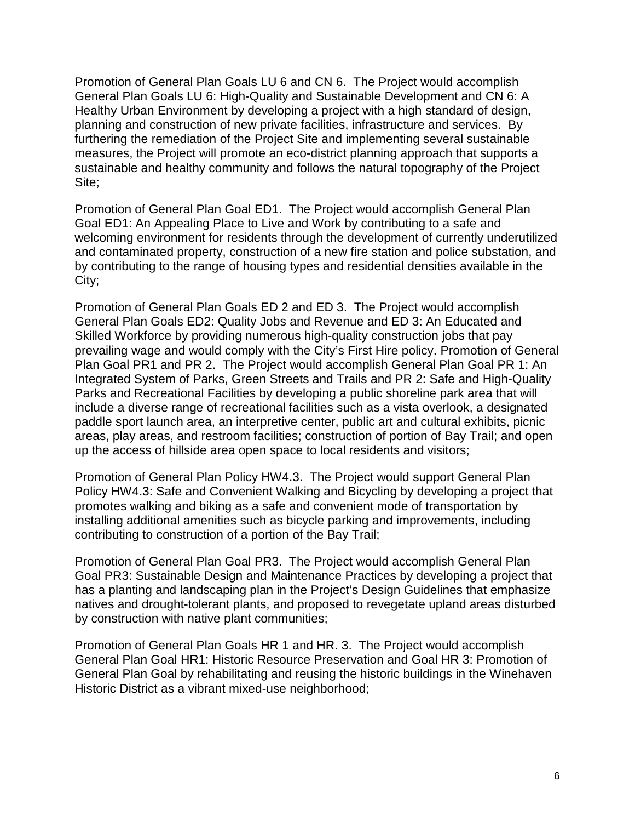Promotion of General Plan Goals LU 6 and CN 6. The Project would accomplish General Plan Goals LU 6: High-Quality and Sustainable Development and CN 6: A Healthy Urban Environment by developing a project with a high standard of design, planning and construction of new private facilities, infrastructure and services. By furthering the remediation of the Project Site and implementing several sustainable measures, the Project will promote an eco-district planning approach that supports a sustainable and healthy community and follows the natural topography of the Project Site;

Promotion of General Plan Goal ED1. The Project would accomplish General Plan Goal ED1: An Appealing Place to Live and Work by contributing to a safe and welcoming environment for residents through the development of currently underutilized and contaminated property, construction of a new fire station and police substation, and by contributing to the range of housing types and residential densities available in the City;

Promotion of General Plan Goals ED 2 and ED 3. The Project would accomplish General Plan Goals ED2: Quality Jobs and Revenue and ED 3: An Educated and Skilled Workforce by providing numerous high-quality construction jobs that pay prevailing wage and would comply with the City's First Hire policy. Promotion of General Plan Goal PR1 and PR 2. The Project would accomplish General Plan Goal PR 1: An Integrated System of Parks, Green Streets and Trails and PR 2: Safe and High-Quality Parks and Recreational Facilities by developing a public shoreline park area that will include a diverse range of recreational facilities such as a vista overlook, a designated paddle sport launch area, an interpretive center, public art and cultural exhibits, picnic areas, play areas, and restroom facilities; construction of portion of Bay Trail; and open up the access of hillside area open space to local residents and visitors;

Promotion of General Plan Policy HW4.3. The Project would support General Plan Policy HW4.3: Safe and Convenient Walking and Bicycling by developing a project that promotes walking and biking as a safe and convenient mode of transportation by installing additional amenities such as bicycle parking and improvements, including contributing to construction of a portion of the Bay Trail;

Promotion of General Plan Goal PR3. The Project would accomplish General Plan Goal PR3: Sustainable Design and Maintenance Practices by developing a project that has a planting and landscaping plan in the Project's Design Guidelines that emphasize natives and drought-tolerant plants, and proposed to revegetate upland areas disturbed by construction with native plant communities;

Promotion of General Plan Goals HR 1 and HR. 3. The Project would accomplish General Plan Goal HR1: Historic Resource Preservation and Goal HR 3: Promotion of General Plan Goal by rehabilitating and reusing the historic buildings in the Winehaven Historic District as a vibrant mixed-use neighborhood;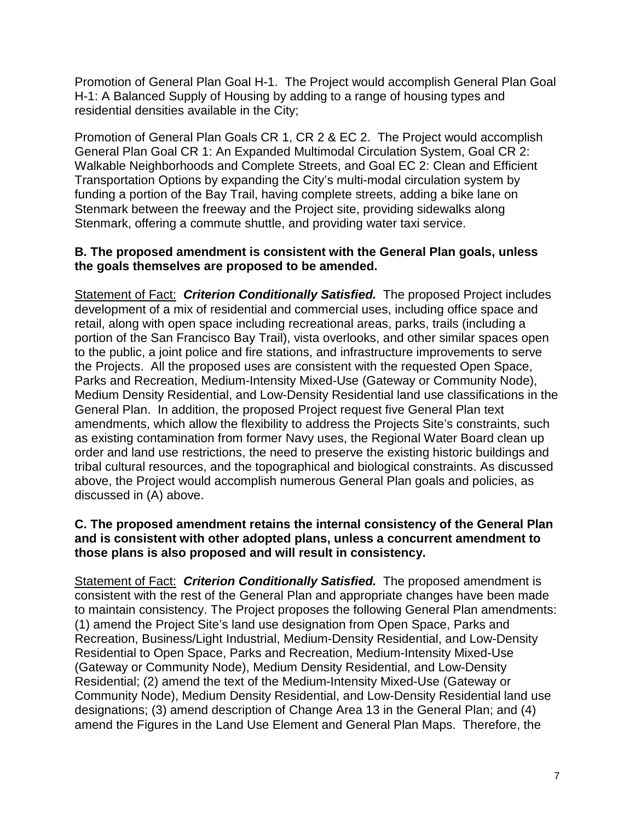Promotion of General Plan Goal H-1. The Project would accomplish General Plan Goal H-1: A Balanced Supply of Housing by adding to a range of housing types and residential densities available in the City;

Promotion of General Plan Goals CR 1, CR 2 & EC 2. The Project would accomplish General Plan Goal CR 1: An Expanded Multimodal Circulation System, Goal CR 2: Walkable Neighborhoods and Complete Streets, and Goal EC 2: Clean and Efficient Transportation Options by expanding the City's multi-modal circulation system by funding a portion of the Bay Trail, having complete streets, adding a bike lane on Stenmark between the freeway and the Project site, providing sidewalks along Stenmark, offering a commute shuttle, and providing water taxi service.

#### **B. The proposed amendment is consistent with the General Plan goals, unless the goals themselves are proposed to be amended.**

Statement of Fact: *Criterion Conditionally Satisfied.* The proposed Project includes development of a mix of residential and commercial uses, including office space and retail, along with open space including recreational areas, parks, trails (including a portion of the San Francisco Bay Trail), vista overlooks, and other similar spaces open to the public, a joint police and fire stations, and infrastructure improvements to serve the Projects. All the proposed uses are consistent with the requested Open Space, Parks and Recreation, Medium-Intensity Mixed-Use (Gateway or Community Node), Medium Density Residential, and Low-Density Residential land use classifications in the General Plan. In addition, the proposed Project request five General Plan text amendments, which allow the flexibility to address the Projects Site's constraints, such as existing contamination from former Navy uses, the Regional Water Board clean up order and land use restrictions, the need to preserve the existing historic buildings and tribal cultural resources, and the topographical and biological constraints. As discussed above, the Project would accomplish numerous General Plan goals and policies, as discussed in (A) above.

#### **C. The proposed amendment retains the internal consistency of the General Plan and is consistent with other adopted plans, unless a concurrent amendment to those plans is also proposed and will result in consistency.**

Statement of Fact: *Criterion Conditionally Satisfied.* The proposed amendment is consistent with the rest of the General Plan and appropriate changes have been made to maintain consistency. The Project proposes the following General Plan amendments: (1) amend the Project Site's land use designation from Open Space, Parks and Recreation, Business/Light Industrial, Medium-Density Residential, and Low-Density Residential to Open Space, Parks and Recreation, Medium-Intensity Mixed-Use (Gateway or Community Node), Medium Density Residential, and Low-Density Residential; (2) amend the text of the Medium-Intensity Mixed-Use (Gateway or Community Node), Medium Density Residential, and Low-Density Residential land use designations; (3) amend description of Change Area 13 in the General Plan; and (4) amend the Figures in the Land Use Element and General Plan Maps. Therefore, the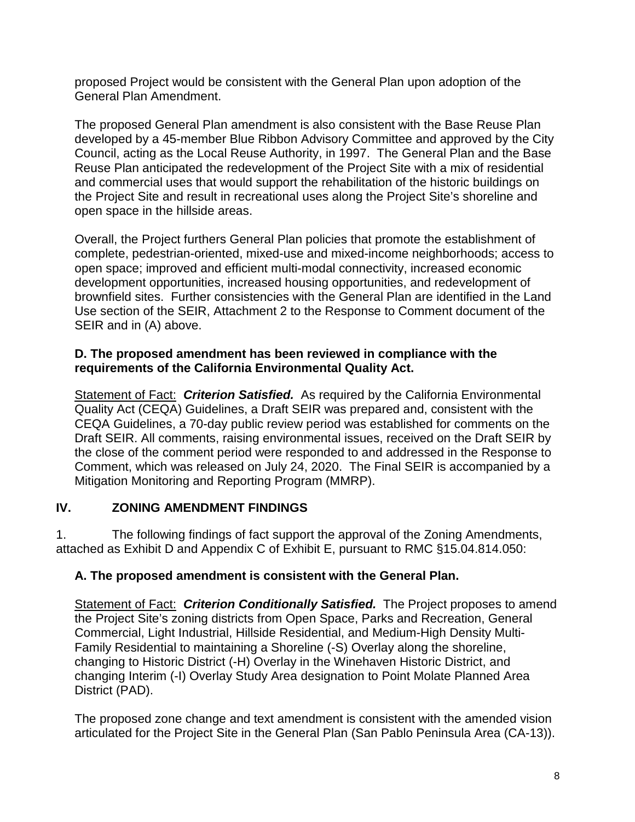proposed Project would be consistent with the General Plan upon adoption of the General Plan Amendment.

The proposed General Plan amendment is also consistent with the Base Reuse Plan developed by a 45-member Blue Ribbon Advisory Committee and approved by the City Council, acting as the Local Reuse Authority, in 1997. The General Plan and the Base Reuse Plan anticipated the redevelopment of the Project Site with a mix of residential and commercial uses that would support the rehabilitation of the historic buildings on the Project Site and result in recreational uses along the Project Site's shoreline and open space in the hillside areas.

Overall, the Project furthers General Plan policies that promote the establishment of complete, pedestrian-oriented, mixed-use and mixed-income neighborhoods; access to open space; improved and efficient multi-modal connectivity, increased economic development opportunities, increased housing opportunities, and redevelopment of brownfield sites. Further consistencies with the General Plan are identified in the Land Use section of the SEIR, Attachment 2 to the Response to Comment document of the SEIR and in (A) above.

### **D. The proposed amendment has been reviewed in compliance with the requirements of the California Environmental Quality Act.**

Statement of Fact: *Criterion Satisfied.* As required by the California Environmental Quality Act (CEQA) Guidelines, a Draft SEIR was prepared and, consistent with the CEQA Guidelines, a 70-day public review period was established for comments on the Draft SEIR. All comments, raising environmental issues, received on the Draft SEIR by the close of the comment period were responded to and addressed in the Response to Comment, which was released on July 24, 2020. The Final SEIR is accompanied by a Mitigation Monitoring and Reporting Program (MMRP).

## **IV. ZONING AMENDMENT FINDINGS**

1. The following findings of fact support the approval of the Zoning Amendments, attached as Exhibit D and Appendix C of Exhibit E, pursuant to RMC §15.04.814.050:

## **A. The proposed amendment is consistent with the General Plan.**

Statement of Fact: *Criterion Conditionally Satisfied.* The Project proposes to amend the Project Site's zoning districts from Open Space, Parks and Recreation, General Commercial, Light Industrial, Hillside Residential, and Medium-High Density Multi-Family Residential to maintaining a Shoreline (-S) Overlay along the shoreline, changing to Historic District (-H) Overlay in the Winehaven Historic District, and changing Interim (-I) Overlay Study Area designation to Point Molate Planned Area District (PAD).

The proposed zone change and text amendment is consistent with the amended vision articulated for the Project Site in the General Plan (San Pablo Peninsula Area (CA-13)).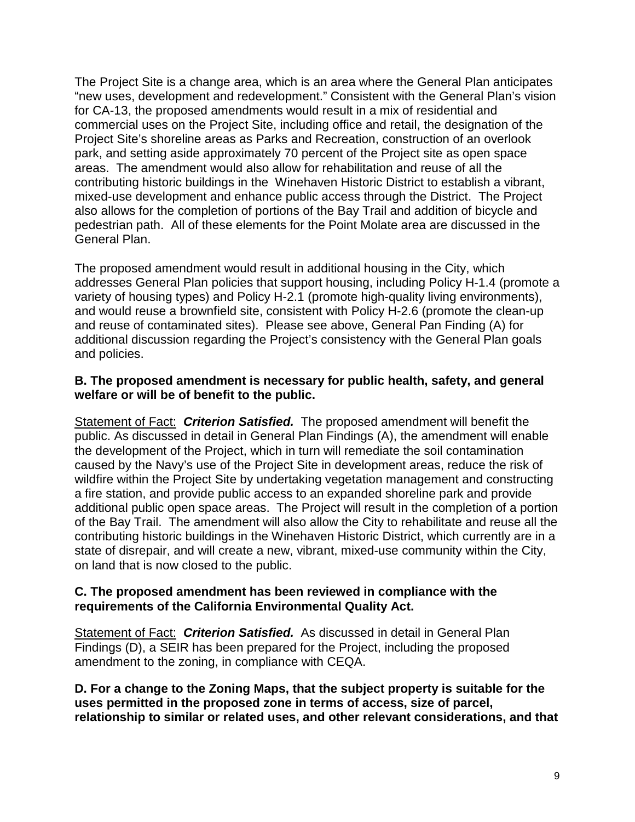The Project Site is a change area, which is an area where the General Plan anticipates "new uses, development and redevelopment." Consistent with the General Plan's vision for CA-13, the proposed amendments would result in a mix of residential and commercial uses on the Project Site, including office and retail, the designation of the Project Site's shoreline areas as Parks and Recreation, construction of an overlook park, and setting aside approximately 70 percent of the Project site as open space areas. The amendment would also allow for rehabilitation and reuse of all the contributing historic buildings in the Winehaven Historic District to establish a vibrant, mixed-use development and enhance public access through the District. The Project also allows for the completion of portions of the Bay Trail and addition of bicycle and pedestrian path. All of these elements for the Point Molate area are discussed in the General Plan.

The proposed amendment would result in additional housing in the City, which addresses General Plan policies that support housing, including Policy H-1.4 (promote a variety of housing types) and Policy H-2.1 (promote high-quality living environments), and would reuse a brownfield site, consistent with Policy H-2.6 (promote the clean-up and reuse of contaminated sites). Please see above, General Pan Finding (A) for additional discussion regarding the Project's consistency with the General Plan goals and policies.

#### **B. The proposed amendment is necessary for public health, safety, and general welfare or will be of benefit to the public.**

Statement of Fact: *Criterion Satisfied.* The proposed amendment will benefit the public. As discussed in detail in General Plan Findings (A), the amendment will enable the development of the Project, which in turn will remediate the soil contamination caused by the Navy's use of the Project Site in development areas, reduce the risk of wildfire within the Project Site by undertaking vegetation management and constructing a fire station, and provide public access to an expanded shoreline park and provide additional public open space areas. The Project will result in the completion of a portion of the Bay Trail. The amendment will also allow the City to rehabilitate and reuse all the contributing historic buildings in the Winehaven Historic District, which currently are in a state of disrepair, and will create a new, vibrant, mixed-use community within the City, on land that is now closed to the public.

#### **C. The proposed amendment has been reviewed in compliance with the requirements of the California Environmental Quality Act.**

Statement of Fact: *Criterion Satisfied.* As discussed in detail in General Plan Findings (D), a SEIR has been prepared for the Project, including the proposed amendment to the zoning, in compliance with CEQA.

**D. For a change to the Zoning Maps, that the subject property is suitable for the uses permitted in the proposed zone in terms of access, size of parcel, relationship to similar or related uses, and other relevant considerations, and that**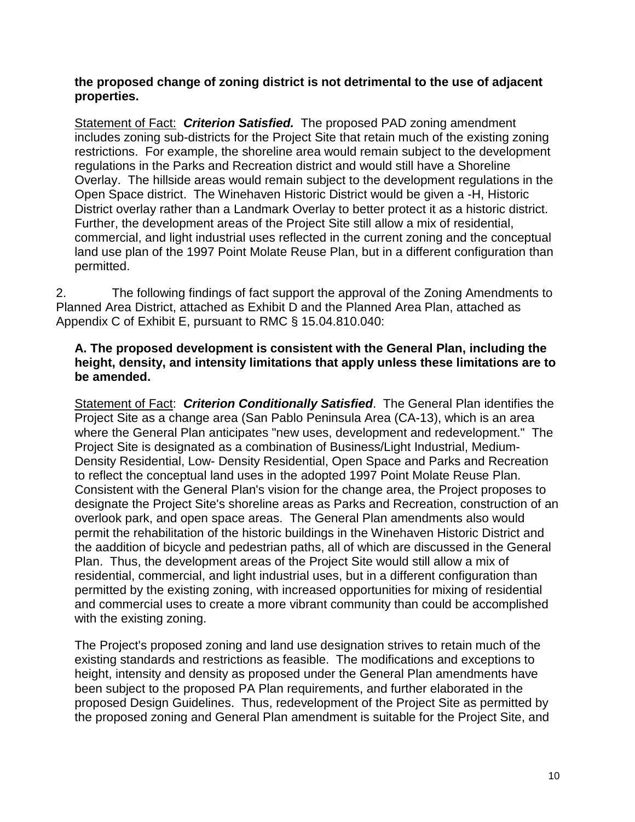**the proposed change of zoning district is not detrimental to the use of adjacent properties.** 

Statement of Fact:*Criterion Satisfied.*The proposed PAD zoning amendment includes zoning sub-districts for the Project Site that retain much of the existing zoning restrictions. For example, the shoreline area would remain subject to the development regulations in the Parks and Recreation district and would still have a Shoreline Overlay. The hillside areas would remain subject to the development regulations in the Open Space district. The Winehaven Historic District would be given a -H, Historic District overlay rather than a Landmark Overlay to better protect it as a historic district. Further, the development areas of the Project Site still allow a mix of residential, commercial, and light industrial uses reflected in the current zoning and the conceptual land use plan of the 1997 Point Molate Reuse Plan, but in a different configuration than permitted.

2. The following findings of fact support the approval of the Zoning Amendments to Planned Area District, attached as Exhibit D and the Planned Area Plan, attached as Appendix C of Exhibit E, pursuant to RMC § 15.04.810.040:

### **A. The proposed development is consistent with the General Plan, including the height, density, and intensity limitations that apply unless these limitations are to be amended.**

Statement of Fact: *Criterion Conditionally Satisfied*. The General Plan identifies the Project Site as a change area (San Pablo Peninsula Area (CA-13), which is an area where the General Plan anticipates "new uses, development and redevelopment." The Project Site is designated as a combination of Business/Light Industrial, Medium-Density Residential, Low- Density Residential, Open Space and Parks and Recreation to reflect the conceptual land uses in the adopted 1997 Point Molate Reuse Plan. Consistent with the General Plan's vision for the change area, the Project proposes to designate the Project Site's shoreline areas as Parks and Recreation, construction of an overlook park, and open space areas. The General Plan amendments also would permit the rehabilitation of the historic buildings in the Winehaven Historic District and the aaddition of bicycle and pedestrian paths, all of which are discussed in the General Plan. Thus, the development areas of the Project Site would still allow a mix of residential, commercial, and light industrial uses, but in a different configuration than permitted by the existing zoning, with increased opportunities for mixing of residential and commercial uses to create a more vibrant community than could be accomplished with the existing zoning.

The Project's proposed zoning and land use designation strives to retain much of the existing standards and restrictions as feasible. The modifications and exceptions to height, intensity and density as proposed under the General Plan amendments have been subject to the proposed PA Plan requirements, and further elaborated in the proposed Design Guidelines. Thus, redevelopment of the Project Site as permitted by the proposed zoning and General Plan amendment is suitable for the Project Site, and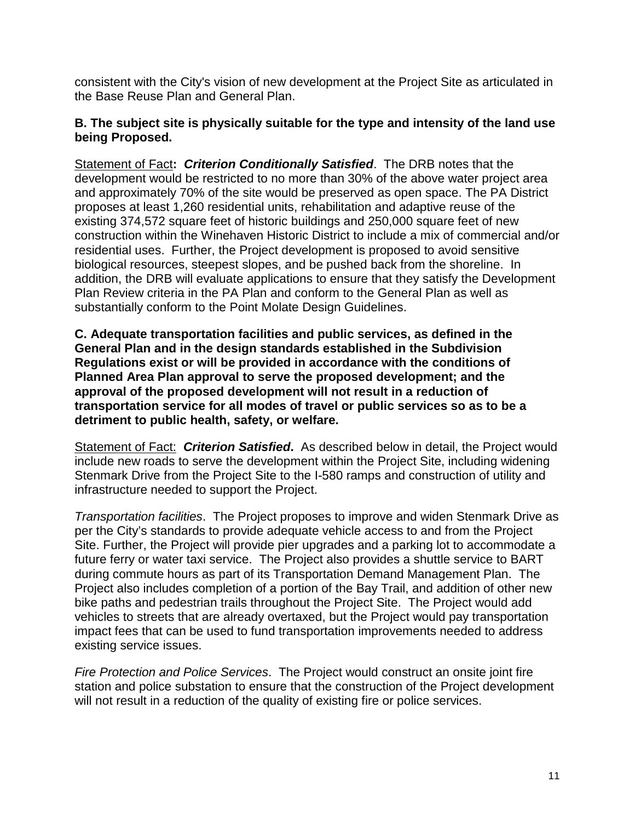consistent with the City's vision of new development at the Project Site as articulated in the Base Reuse Plan and General Plan.

#### **B. The subject site is physically suitable for the type and intensity of the land use being Proposed.**

Statement of Fact**:** *Criterion Conditionally Satisfied*. The DRB notes that the development would be restricted to no more than 30% of the above water project area and approximately 70% of the site would be preserved as open space. The PA District proposes at least 1,260 residential units, rehabilitation and adaptive reuse of the existing 374,572 square feet of historic buildings and 250,000 square feet of new construction within the Winehaven Historic District to include a mix of commercial and/or residential uses. Further, the Project development is proposed to avoid sensitive biological resources, steepest slopes, and be pushed back from the shoreline. In addition, the DRB will evaluate applications to ensure that they satisfy the Development Plan Review criteria in the PA Plan and conform to the General Plan as well as substantially conform to the Point Molate Design Guidelines.

**C. Adequate transportation facilities and public services, as defined in the General Plan and in the design standards established in the Subdivision Regulations exist or will be provided in accordance with the conditions of Planned Area Plan approval to serve the proposed development; and the approval of the proposed development will not result in a reduction of transportation service for all modes of travel or public services so as to be a detriment to public health, safety, or welfare.**

Statement of Fact: *Criterion Satisfied***.** As described below in detail, the Project would include new roads to serve the development within the Project Site, including widening Stenmark Drive from the Project Site to the I-580 ramps and construction of utility and infrastructure needed to support the Project.

*Transportation facilities*. The Project proposes to improve and widen Stenmark Drive as per the City's standards to provide adequate vehicle access to and from the Project Site. Further, the Project will provide pier upgrades and a parking lot to accommodate a future ferry or water taxi service. The Project also provides a shuttle service to BART during commute hours as part of its Transportation Demand Management Plan. The Project also includes completion of a portion of the Bay Trail, and addition of other new bike paths and pedestrian trails throughout the Project Site. The Project would add vehicles to streets that are already overtaxed, but the Project would pay transportation impact fees that can be used to fund transportation improvements needed to address existing service issues.

*Fire Protection and Police Services*. The Project would construct an onsite joint fire station and police substation to ensure that the construction of the Project development will not result in a reduction of the quality of existing fire or police services.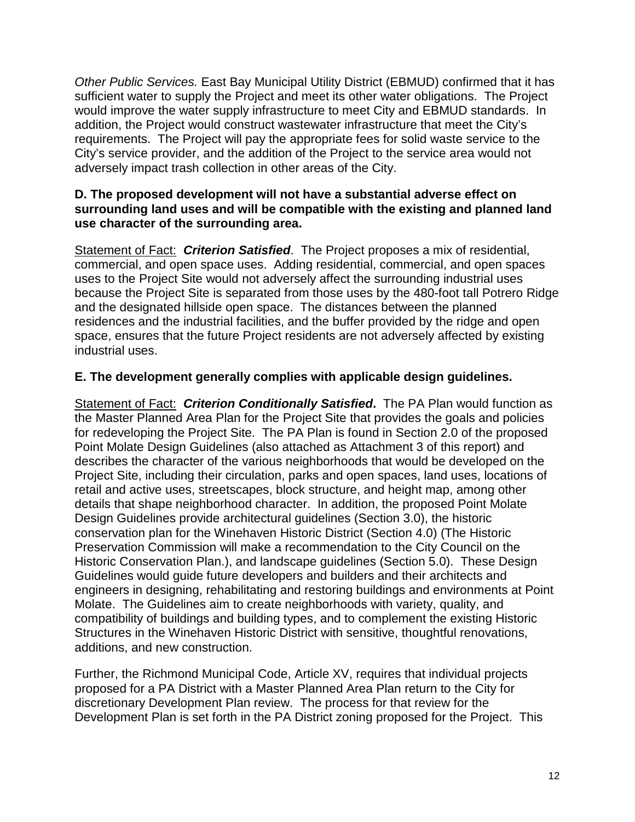*Other Public Services.* East Bay Municipal Utility District (EBMUD) confirmed that it has sufficient water to supply the Project and meet its other water obligations. The Project would improve the water supply infrastructure to meet City and EBMUD standards. In addition, the Project would construct wastewater infrastructure that meet the City's requirements. The Project will pay the appropriate fees for solid waste service to the City's service provider, and the addition of the Project to the service area would not adversely impact trash collection in other areas of the City.

#### **D. The proposed development will not have a substantial adverse effect on surrounding land uses and will be compatible with the existing and planned land use character of the surrounding area.**

Statement of Fact: *Criterion Satisfied*. The Project proposes a mix of residential, commercial, and open space uses. Adding residential, commercial, and open spaces uses to the Project Site would not adversely affect the surrounding industrial uses because the Project Site is separated from those uses by the 480-foot tall Potrero Ridge and the designated hillside open space. The distances between the planned residences and the industrial facilities, and the buffer provided by the ridge and open space, ensures that the future Project residents are not adversely affected by existing industrial uses.

## **E. The development generally complies with applicable design guidelines.**

Statement of Fact: *Criterion Conditionally Satisfied***.** The PA Plan would function as the Master Planned Area Plan for the Project Site that provides the goals and policies for redeveloping the Project Site. The PA Plan is found in Section 2.0 of the proposed Point Molate Design Guidelines (also attached as Attachment 3 of this report) and describes the character of the various neighborhoods that would be developed on the Project Site, including their circulation, parks and open spaces, land uses, locations of retail and active uses, streetscapes, block structure, and height map, among other details that shape neighborhood character. In addition, the proposed Point Molate Design Guidelines provide architectural guidelines (Section 3.0), the historic conservation plan for the Winehaven Historic District (Section 4.0) (The Historic Preservation Commission will make a recommendation to the City Council on the Historic Conservation Plan.), and landscape guidelines (Section 5.0). These Design Guidelines would guide future developers and builders and their architects and engineers in designing, rehabilitating and restoring buildings and environments at Point Molate. The Guidelines aim to create neighborhoods with variety, quality, and compatibility of buildings and building types, and to complement the existing Historic Structures in the Winehaven Historic District with sensitive, thoughtful renovations, additions, and new construction.

Further, the Richmond Municipal Code, Article XV, requires that individual projects proposed for a PA District with a Master Planned Area Plan return to the City for discretionary Development Plan review. The process for that review for the Development Plan is set forth in the PA District zoning proposed for the Project. This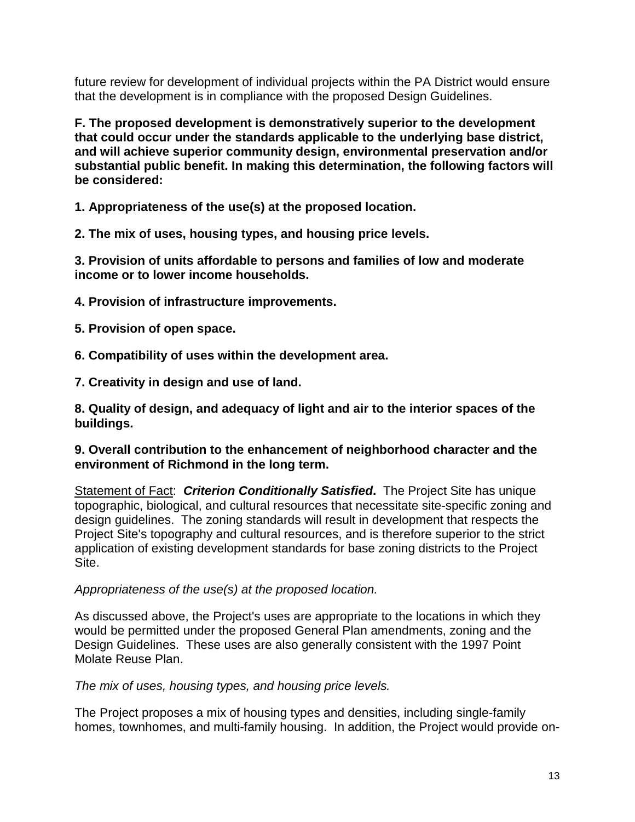future review for development of individual projects within the PA District would ensure that the development is in compliance with the proposed Design Guidelines.

**F. The proposed development is demonstratively superior to the development that could occur under the standards applicable to the underlying base district, and will achieve superior community design, environmental preservation and/or substantial public benefit. In making this determination, the following factors will be considered:**

**1. Appropriateness of the use(s) at the proposed location.**

**2. The mix of uses, housing types, and housing price levels.**

**3. Provision of units affordable to persons and families of low and moderate income or to lower income households.**

- **4. Provision of infrastructure improvements.**
- **5. Provision of open space.**
- **6. Compatibility of uses within the development area.**

**7. Creativity in design and use of land.**

**8. Quality of design, and adequacy of light and air to the interior spaces of the buildings.**

#### **9. Overall contribution to the enhancement of neighborhood character and the environment of Richmond in the long term.**

Statement of Fact: *Criterion Conditionally Satisfied***.** The Project Site has unique topographic, biological, and cultural resources that necessitate site-specific zoning and design guidelines. The zoning standards will result in development that respects the Project Site's topography and cultural resources, and is therefore superior to the strict application of existing development standards for base zoning districts to the Project Site.

#### *Appropriateness of the use(s) at the proposed location.*

As discussed above, the Project's uses are appropriate to the locations in which they would be permitted under the proposed General Plan amendments, zoning and the Design Guidelines. These uses are also generally consistent with the 1997 Point Molate Reuse Plan.

*The mix of uses, housing types, and housing price levels.*

The Project proposes a mix of housing types and densities, including single-family homes, townhomes, and multi-family housing. In addition, the Project would provide on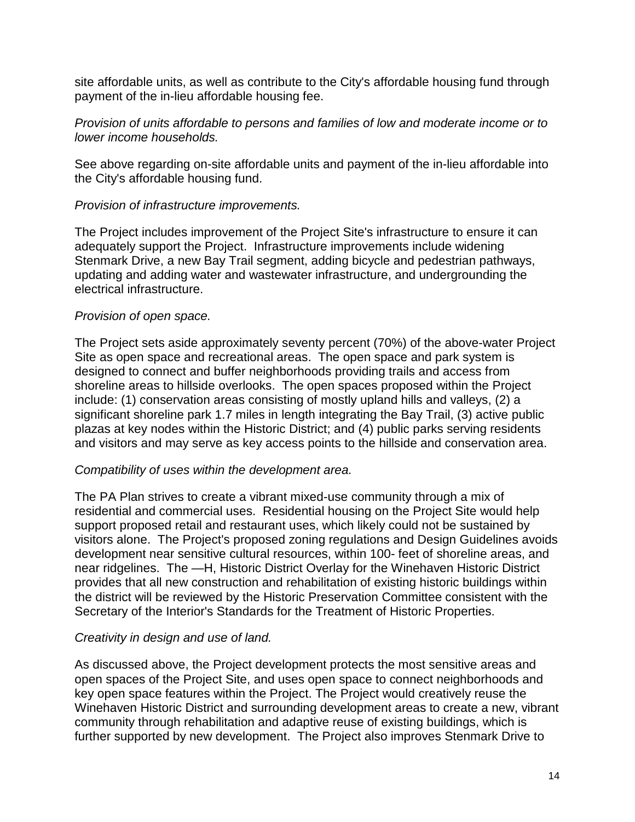site affordable units, as well as contribute to the City's affordable housing fund through payment of the in-lieu affordable housing fee.

#### *Provision of units affordable to persons and families of low and moderate income or to lower income households.*

See above regarding on-site affordable units and payment of the in-lieu affordable into the City's affordable housing fund.

#### *Provision of infrastructure improvements.*

The Project includes improvement of the Project Site's infrastructure to ensure it can adequately support the Project. Infrastructure improvements include widening Stenmark Drive, a new Bay Trail segment, adding bicycle and pedestrian pathways, updating and adding water and wastewater infrastructure, and undergrounding the electrical infrastructure.

### *Provision of open space.*

The Project sets aside approximately seventy percent (70%) of the above-water Project Site as open space and recreational areas. The open space and park system is designed to connect and buffer neighborhoods providing trails and access from shoreline areas to hillside overlooks. The open spaces proposed within the Project include: (1) conservation areas consisting of mostly upland hills and valleys, (2) a significant shoreline park 1.7 miles in length integrating the Bay Trail, (3) active public plazas at key nodes within the Historic District; and (4) public parks serving residents and visitors and may serve as key access points to the hillside and conservation area.

## *Compatibility of uses within the development area.*

The PA Plan strives to create a vibrant mixed-use community through a mix of residential and commercial uses. Residential housing on the Project Site would help support proposed retail and restaurant uses, which likely could not be sustained by visitors alone. The Project's proposed zoning regulations and Design Guidelines avoids development near sensitive cultural resources, within 100- feet of shoreline areas, and near ridgelines. The —H, Historic District Overlay for the Winehaven Historic District provides that all new construction and rehabilitation of existing historic buildings within the district will be reviewed by the Historic Preservation Committee consistent with the Secretary of the Interior's Standards for the Treatment of Historic Properties.

## *Creativity in design and use of land.*

As discussed above, the Project development protects the most sensitive areas and open spaces of the Project Site, and uses open space to connect neighborhoods and key open space features within the Project. The Project would creatively reuse the Winehaven Historic District and surrounding development areas to create a new, vibrant community through rehabilitation and adaptive reuse of existing buildings, which is further supported by new development. The Project also improves Stenmark Drive to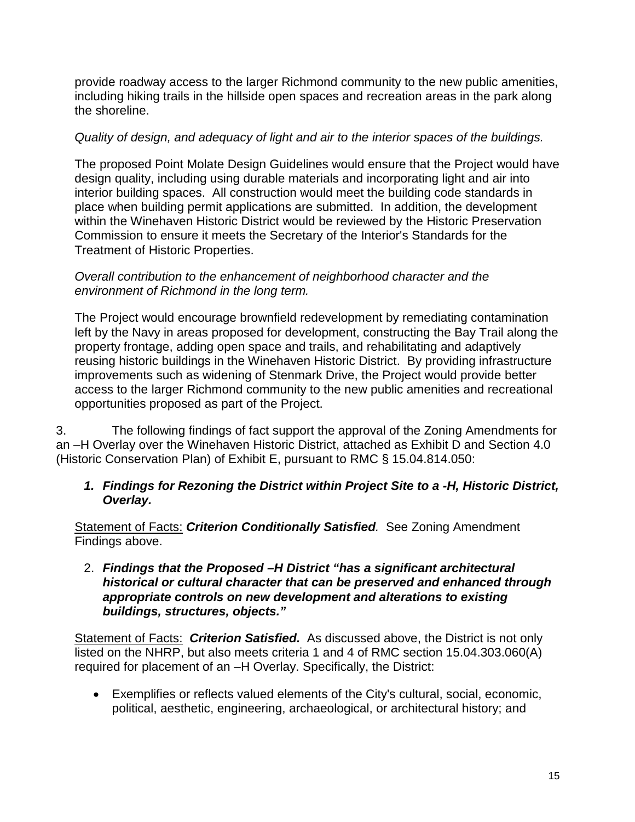provide roadway access to the larger Richmond community to the new public amenities, including hiking trails in the hillside open spaces and recreation areas in the park along the shoreline.

### *Quality of design, and adequacy of light and air to the interior spaces of the buildings.*

The proposed Point Molate Design Guidelines would ensure that the Project would have design quality, including using durable materials and incorporating light and air into interior building spaces. All construction would meet the building code standards in place when building permit applications are submitted. In addition, the development within the Winehaven Historic District would be reviewed by the Historic Preservation Commission to ensure it meets the Secretary of the Interior's Standards for the Treatment of Historic Properties.

#### *Overall contribution to the enhancement of neighborhood character and the environment of Richmond in the long term.*

The Project would encourage brownfield redevelopment by remediating contamination left by the Navy in areas proposed for development, constructing the Bay Trail along the property frontage, adding open space and trails, and rehabilitating and adaptively reusing historic buildings in the Winehaven Historic District. By providing infrastructure improvements such as widening of Stenmark Drive, the Project would provide better access to the larger Richmond community to the new public amenities and recreational opportunities proposed as part of the Project.

3. The following findings of fact support the approval of the Zoning Amendments for an –H Overlay over the Winehaven Historic District, attached as Exhibit D and Section 4.0 (Historic Conservation Plan) of Exhibit E, pursuant to RMC § 15.04.814.050:

### *1. Findings for Rezoning the District within Project Site to a -H, Historic District, Overlay.*

Statement of Facts: *Criterion Conditionally Satisfied.* See Zoning Amendment Findings above.

#### 2. *Findings that the Proposed –H District "has a significant architectural historical or cultural character that can be preserved and enhanced through appropriate controls on new development and alterations to existing buildings, structures, objects."*

Statement of Facts: *Criterion Satisfied.* As discussed above, the District is not only listed on the NHRP, but also meets criteria 1 and 4 of RMC section 15.04.303.060(A) required for placement of an –H Overlay. Specifically, the District:

• Exemplifies or reflects valued elements of the City's cultural, social, economic, political, aesthetic, engineering, archaeological, or architectural history; and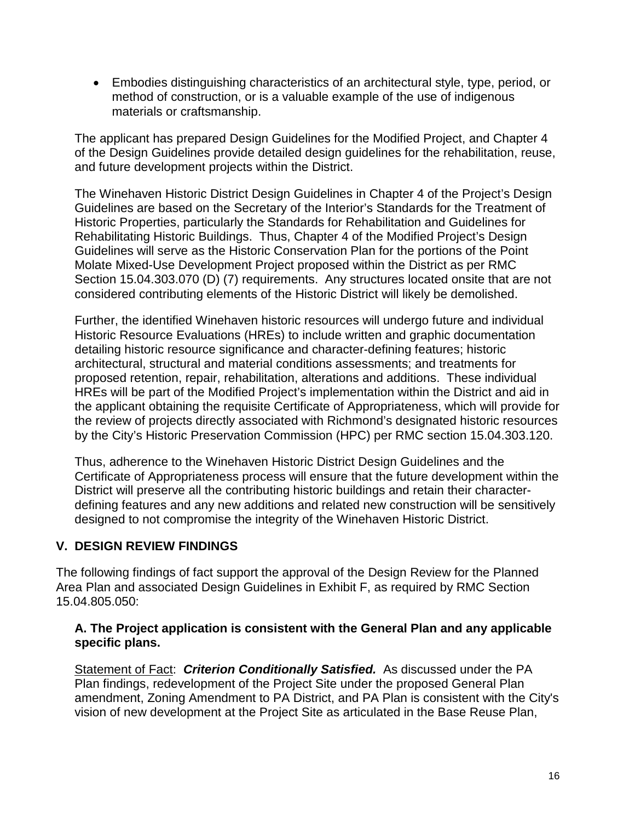• Embodies distinguishing characteristics of an architectural style, type, period, or method of construction, or is a valuable example of the use of indigenous materials or craftsmanship.

The applicant has prepared Design Guidelines for the Modified Project, and Chapter 4 of the Design Guidelines provide detailed design guidelines for the rehabilitation, reuse, and future development projects within the District.

The Winehaven Historic District Design Guidelines in Chapter 4 of the Project's Design Guidelines are based on the Secretary of the Interior's Standards for the Treatment of Historic Properties, particularly the Standards for Rehabilitation and Guidelines for Rehabilitating Historic Buildings. Thus, Chapter 4 of the Modified Project's Design Guidelines will serve as the Historic Conservation Plan for the portions of the Point Molate Mixed-Use Development Project proposed within the District as per RMC Section 15.04.303.070 (D) (7) requirements. Any structures located onsite that are not considered contributing elements of the Historic District will likely be demolished.

Further, the identified Winehaven historic resources will undergo future and individual Historic Resource Evaluations (HREs) to include written and graphic documentation detailing historic resource significance and character-defining features; historic architectural, structural and material conditions assessments; and treatments for proposed retention, repair, rehabilitation, alterations and additions. These individual HREs will be part of the Modified Project's implementation within the District and aid in the applicant obtaining the requisite Certificate of Appropriateness, which will provide for the review of projects directly associated with Richmond's designated historic resources by the City's Historic Preservation Commission (HPC) per RMC section 15.04.303.120.

Thus, adherence to the Winehaven Historic District Design Guidelines and the Certificate of Appropriateness process will ensure that the future development within the District will preserve all the contributing historic buildings and retain their characterdefining features and any new additions and related new construction will be sensitively designed to not compromise the integrity of the Winehaven Historic District.

## **V. DESIGN REVIEW FINDINGS**

The following findings of fact support the approval of the Design Review for the Planned Area Plan and associated Design Guidelines in Exhibit F, as required by RMC Section 15.04.805.050:

### **A. The Project application is consistent with the General Plan and any applicable specific plans.**

Statement of Fact: *Criterion Conditionally Satisfied.* As discussed under the PA Plan findings, redevelopment of the Project Site under the proposed General Plan amendment, Zoning Amendment to PA District, and PA Plan is consistent with the City's vision of new development at the Project Site as articulated in the Base Reuse Plan,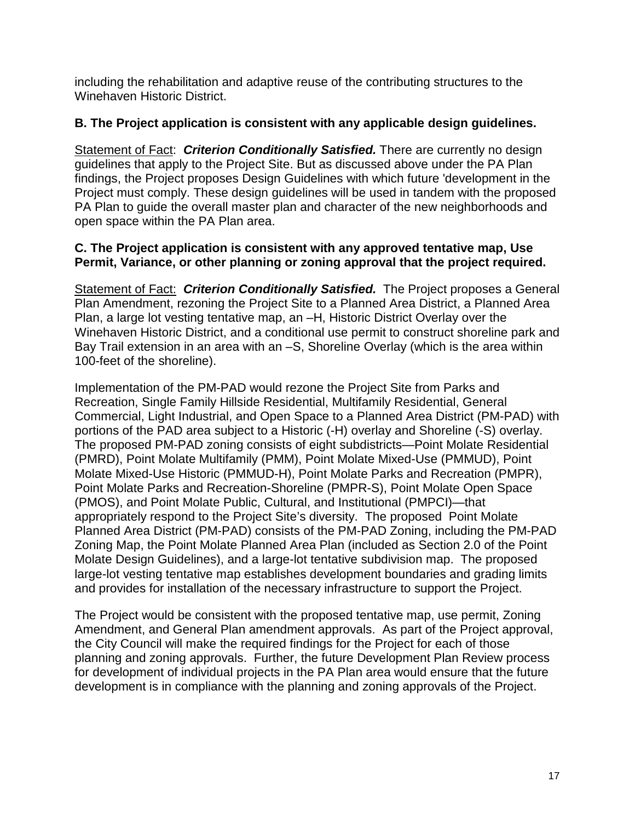including the rehabilitation and adaptive reuse of the contributing structures to the Winehaven Historic District.

### **B. The Project application is consistent with any applicable design guidelines.**

Statement of Fact: *Criterion Conditionally Satisfied.* There are currently no design guidelines that apply to the Project Site. But as discussed above under the PA Plan findings, the Project proposes Design Guidelines with which future 'development in the Project must comply. These design guidelines will be used in tandem with the proposed PA Plan to guide the overall master plan and character of the new neighborhoods and open space within the PA Plan area.

#### **C. The Project application is consistent with any approved tentative map, Use Permit, Variance, or other planning or zoning approval that the project required.**

Statement of Fact: *Criterion Conditionally Satisfied.* The Project proposes a General Plan Amendment, rezoning the Project Site to a Planned Area District, a Planned Area Plan, a large lot vesting tentative map, an –H, Historic District Overlay over the Winehaven Historic District, and a conditional use permit to construct shoreline park and Bay Trail extension in an area with an –S, Shoreline Overlay (which is the area within 100-feet of the shoreline).

Implementation of the PM-PAD would rezone the Project Site from Parks and Recreation, Single Family Hillside Residential, Multifamily Residential, General Commercial, Light Industrial, and Open Space to a Planned Area District (PM-PAD) with portions of the PAD area subject to a Historic (-H) overlay and Shoreline (-S) overlay. The proposed PM-PAD zoning consists of eight subdistricts—Point Molate Residential (PMRD), Point Molate Multifamily (PMM), Point Molate Mixed-Use (PMMUD), Point Molate Mixed-Use Historic (PMMUD-H), Point Molate Parks and Recreation (PMPR), Point Molate Parks and Recreation-Shoreline (PMPR-S), Point Molate Open Space (PMOS), and Point Molate Public, Cultural, and Institutional (PMPCI)—that appropriately respond to the Project Site's diversity. The proposed Point Molate Planned Area District (PM-PAD) consists of the PM-PAD Zoning, including the PM-PAD Zoning Map, the Point Molate Planned Area Plan (included as Section 2.0 of the Point Molate Design Guidelines), and a large-lot tentative subdivision map. The proposed large-lot vesting tentative map establishes development boundaries and grading limits and provides for installation of the necessary infrastructure to support the Project.

The Project would be consistent with the proposed tentative map, use permit, Zoning Amendment, and General Plan amendment approvals. As part of the Project approval, the City Council will make the required findings for the Project for each of those planning and zoning approvals. Further, the future Development Plan Review process for development of individual projects in the PA Plan area would ensure that the future development is in compliance with the planning and zoning approvals of the Project.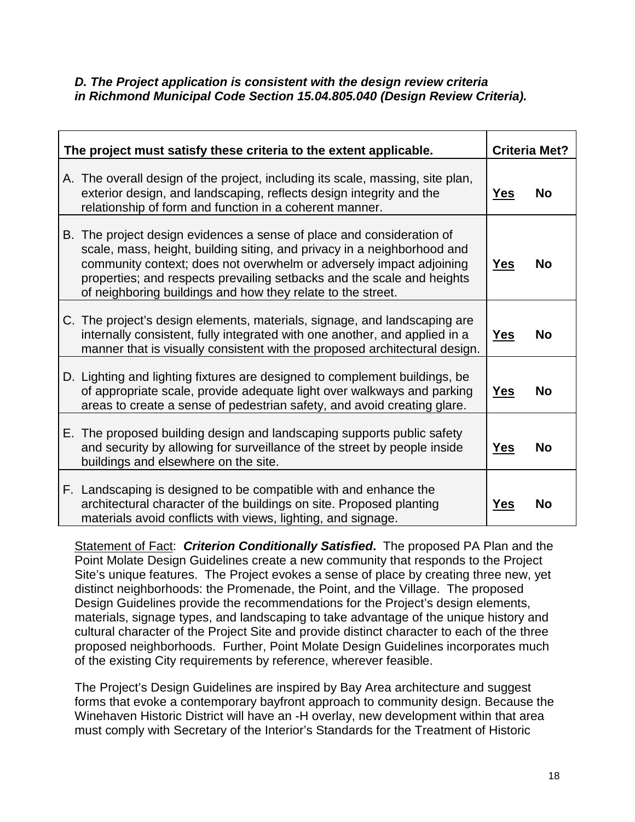#### *D. The Project application is consistent with the design review criteria in [Richmond Municipal Code Section 15.04.805.040](https://library.municode.com/ca/richmond/codes/code_of_ordinances?nodeId=ARTXVZOSU_CH15.04ZOSURE_SERIES_800ADPE_ART15.04.805DERE_15.04.805.040DERECR) (Design Review Criteria).*

| The project must satisfy these criteria to the extent applicable. |                                                                                                                                                                                                                                                                                                                                                                  | <b>Criteria Met?</b> |           |
|-------------------------------------------------------------------|------------------------------------------------------------------------------------------------------------------------------------------------------------------------------------------------------------------------------------------------------------------------------------------------------------------------------------------------------------------|----------------------|-----------|
|                                                                   | A. The overall design of the project, including its scale, massing, site plan,<br>exterior design, and landscaping, reflects design integrity and the<br>relationship of form and function in a coherent manner.                                                                                                                                                 | <b>Yes</b>           | <b>No</b> |
|                                                                   | B. The project design evidences a sense of place and consideration of<br>scale, mass, height, building siting, and privacy in a neighborhood and<br>community context; does not overwhelm or adversely impact adjoining<br>properties; and respects prevailing setbacks and the scale and heights<br>of neighboring buildings and how they relate to the street. | <u>Yes</u>           | No        |
|                                                                   | C. The project's design elements, materials, signage, and landscaping are<br>internally consistent, fully integrated with one another, and applied in a<br>manner that is visually consistent with the proposed architectural design.                                                                                                                            | <b>Yes</b>           | <b>No</b> |
|                                                                   | D. Lighting and lighting fixtures are designed to complement buildings, be<br>of appropriate scale, provide adequate light over walkways and parking<br>areas to create a sense of pedestrian safety, and avoid creating glare.                                                                                                                                  | <b>Yes</b>           | <b>No</b> |
|                                                                   | E. The proposed building design and landscaping supports public safety<br>and security by allowing for surveillance of the street by people inside<br>buildings and elsewhere on the site.                                                                                                                                                                       | <u>Yes</u>           | <b>No</b> |
|                                                                   | F. Landscaping is designed to be compatible with and enhance the<br>architectural character of the buildings on site. Proposed planting<br>materials avoid conflicts with views, lighting, and signage.                                                                                                                                                          | Yes                  | <b>No</b> |

Statement of Fact: *Criterion Conditionally Satisfied***.** The proposed PA Plan and the Point Molate Design Guidelines create a new community that responds to the Project Site's unique features. The Project evokes a sense of place by creating three new, yet distinct neighborhoods: the Promenade, the Point, and the Village. The proposed Design Guidelines provide the recommendations for the Project's design elements, materials, signage types, and landscaping to take advantage of the unique history and cultural character of the Project Site and provide distinct character to each of the three proposed neighborhoods. Further, Point Molate Design Guidelines incorporates much of the existing City requirements by reference, wherever feasible.

The Project's Design Guidelines are inspired by Bay Area architecture and suggest forms that evoke a contemporary bayfront approach to community design. Because the Winehaven Historic District will have an -H overlay, new development within that area must comply with Secretary of the Interior's Standards for the Treatment of Historic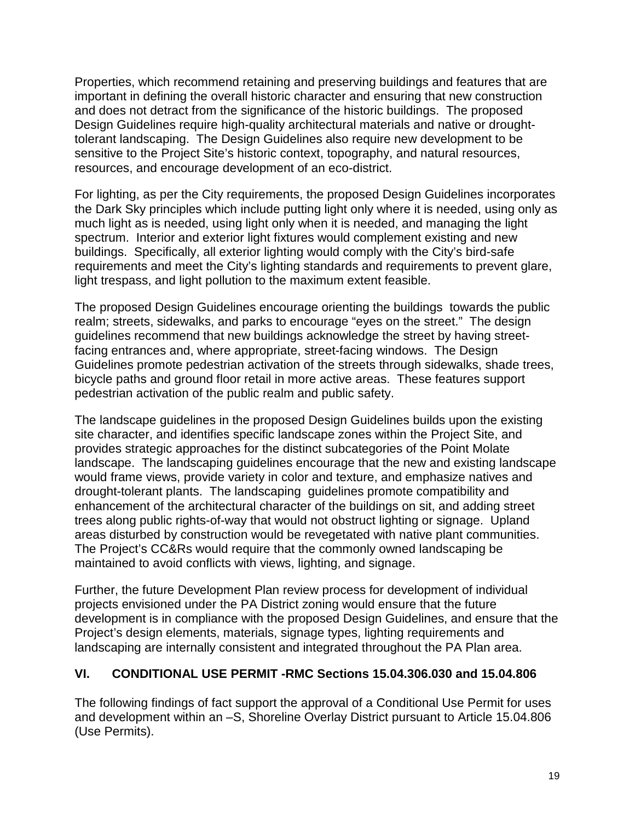Properties, which recommend retaining and preserving buildings and features that are important in defining the overall historic character and ensuring that new construction and does not detract from the significance of the historic buildings. The proposed Design Guidelines require high-quality architectural materials and native or droughttolerant landscaping. The Design Guidelines also require new development to be sensitive to the Project Site's historic context, topography, and natural resources, resources, and encourage development of an eco-district.

For lighting, as per the City requirements, the proposed Design Guidelines incorporates the Dark Sky principles which include putting light only where it is needed, using only as much light as is needed, using light only when it is needed, and managing the light spectrum. Interior and exterior light fixtures would complement existing and new buildings. Specifically, all exterior lighting would comply with the City's bird-safe requirements and meet the City's lighting standards and requirements to prevent glare, light trespass, and light pollution to the maximum extent feasible.

The proposed Design Guidelines encourage orienting the buildings towards the public realm; streets, sidewalks, and parks to encourage "eyes on the street." The design guidelines recommend that new buildings acknowledge the street by having streetfacing entrances and, where appropriate, street-facing windows. The Design Guidelines promote pedestrian activation of the streets through sidewalks, shade trees, bicycle paths and ground floor retail in more active areas. These features support pedestrian activation of the public realm and public safety.

The landscape guidelines in the proposed Design Guidelines builds upon the existing site character, and identifies specific landscape zones within the Project Site, and provides strategic approaches for the distinct subcategories of the Point Molate landscape. The landscaping guidelines encourage that the new and existing landscape would frame views, provide variety in color and texture, and emphasize natives and drought-tolerant plants. The landscaping guidelines promote compatibility and enhancement of the architectural character of the buildings on sit, and adding street trees along public rights-of-way that would not obstruct lighting or signage. Upland areas disturbed by construction would be revegetated with native plant communities. The Project's CC&Rs would require that the commonly owned landscaping be maintained to avoid conflicts with views, lighting, and signage.

Further, the future Development Plan review process for development of individual projects envisioned under the PA District zoning would ensure that the future development is in compliance with the proposed Design Guidelines, and ensure that the Project's design elements, materials, signage types, lighting requirements and landscaping are internally consistent and integrated throughout the PA Plan area.

## **VI. CONDITIONAL USE PERMIT -RMC Sections 15.04.306.030 and 15.04.806**

The following findings of fact support the approval of a Conditional Use Permit for uses and development within an –S, Shoreline Overlay District pursuant to Article 15.04.806 (Use Permits).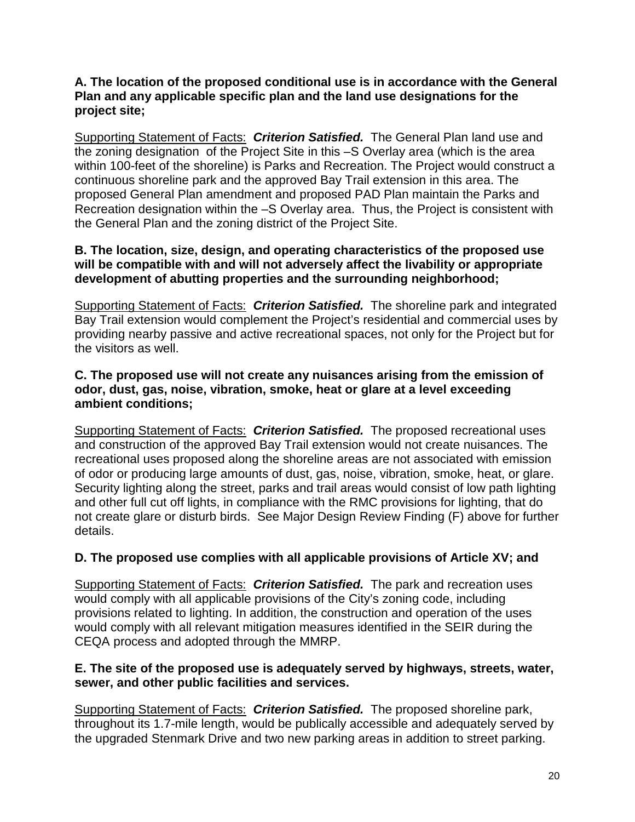#### **A. The location of the proposed conditional use is in accordance with the General Plan and any applicable specific plan and the land use designations for the project site;**

Supporting Statement of Facts: *Criterion Satisfied.* The General Plan land use and the zoning designation of the Project Site in this –S Overlay area (which is the area within 100-feet of the shoreline) is Parks and Recreation. The Project would construct a continuous shoreline park and the approved Bay Trail extension in this area. The proposed General Plan amendment and proposed PAD Plan maintain the Parks and Recreation designation within the –S Overlay area. Thus, the Project is consistent with the General Plan and the zoning district of the Project Site.

### **B. The location, size, design, and operating characteristics of the proposed use will be compatible with and will not adversely affect the livability or appropriate development of abutting properties and the surrounding neighborhood;**

Supporting Statement of Facts: *Criterion Satisfied.* The shoreline park and integrated Bay Trail extension would complement the Project's residential and commercial uses by providing nearby passive and active recreational spaces, not only for the Project but for the visitors as well.

#### **C. The proposed use will not create any nuisances arising from the emission of odor, dust, gas, noise, vibration, smoke, heat or glare at a level exceeding ambient conditions;**

Supporting Statement of Facts: *Criterion Satisfied.* The proposed recreational uses and construction of the approved Bay Trail extension would not create nuisances. The recreational uses proposed along the shoreline areas are not associated with emission of odor or producing large amounts of dust, gas, noise, vibration, smoke, heat, or glare. Security lighting along the street, parks and trail areas would consist of low path lighting and other full cut off lights, in compliance with the RMC provisions for lighting, that do not create glare or disturb birds. See Major Design Review Finding (F) above for further details.

## **D. The proposed use complies with all applicable provisions of Article XV; and**

Supporting Statement of Facts: *Criterion Satisfied.* The park and recreation uses would comply with all applicable provisions of the City's zoning code, including provisions related to lighting. In addition, the construction and operation of the uses would comply with all relevant mitigation measures identified in the SEIR during the CEQA process and adopted through the MMRP.

### **E. The site of the proposed use is adequately served by highways, streets, water, sewer, and other public facilities and services.**

Supporting Statement of Facts: *Criterion Satisfied.* The proposed shoreline park, throughout its 1.7-mile length, would be publically accessible and adequately served by the upgraded Stenmark Drive and two new parking areas in addition to street parking.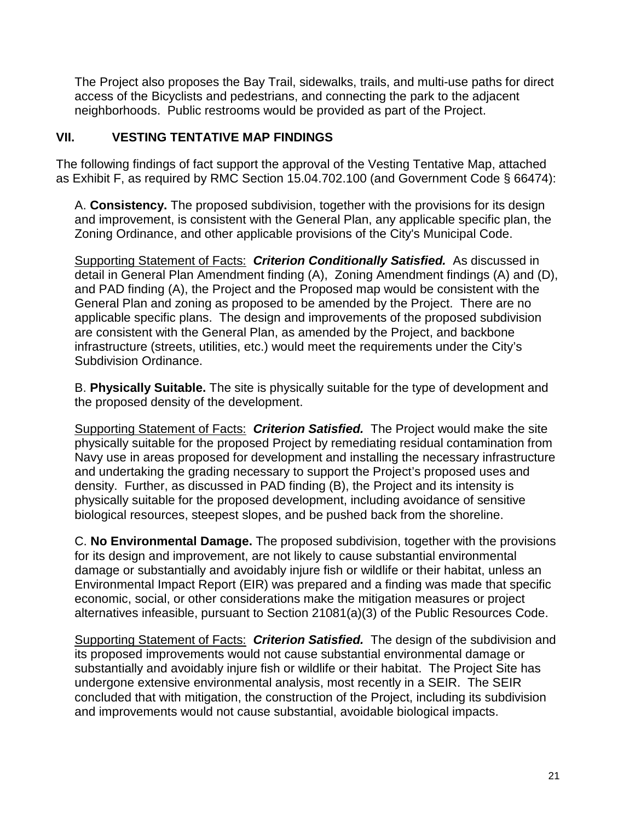The Project also proposes the Bay Trail, sidewalks, trails, and multi-use paths for direct access of the Bicyclists and pedestrians, and connecting the park to the adjacent neighborhoods. Public restrooms would be provided as part of the Project.

## **VII. VESTING TENTATIVE MAP FINDINGS**

The following findings of fact support the approval of the Vesting Tentative Map, attached as Exhibit F, as required by RMC Section 15.04.702.100 (and Government Code § 66474):

A. **Consistency.** The proposed subdivision, together with the provisions for its design and improvement, is consistent with the General Plan, any applicable specific plan, the Zoning Ordinance, and other applicable provisions of the City's Municipal Code.

Supporting Statement of Facts: *Criterion Conditionally Satisfied.* As discussed in detail in General Plan Amendment finding (A), Zoning Amendment findings (A) and (D), and PAD finding (A), the Project and the Proposed map would be consistent with the General Plan and zoning as proposed to be amended by the Project. There are no applicable specific plans. The design and improvements of the proposed subdivision are consistent with the General Plan, as amended by the Project, and backbone infrastructure (streets, utilities, etc.) would meet the requirements under the City's Subdivision Ordinance.

B. **Physically Suitable.** The site is physically suitable for the type of development and the proposed density of the development.

Supporting Statement of Facts: *Criterion Satisfied.* The Project would make the site physically suitable for the proposed Project by remediating residual contamination from Navy use in areas proposed for development and installing the necessary infrastructure and undertaking the grading necessary to support the Project's proposed uses and density. Further, as discussed in PAD finding (B), the Project and its intensity is physically suitable for the proposed development, including avoidance of sensitive biological resources, steepest slopes, and be pushed back from the shoreline.

C. **No Environmental Damage.** The proposed subdivision, together with the provisions for its design and improvement, are not likely to cause substantial environmental damage or substantially and avoidably injure fish or wildlife or their habitat, unless an Environmental Impact Report (EIR) was prepared and a finding was made that specific economic, social, or other considerations make the mitigation measures or project alternatives infeasible, pursuant to Section 21081(a)(3) of the Public Resources Code.

Supporting Statement of Facts: *Criterion Satisfied.* The design of the subdivision and its proposed improvements would not cause substantial environmental damage or substantially and avoidably injure fish or wildlife or their habitat. The Project Site has undergone extensive environmental analysis, most recently in a SEIR. The SEIR concluded that with mitigation, the construction of the Project, including its subdivision and improvements would not cause substantial, avoidable biological impacts.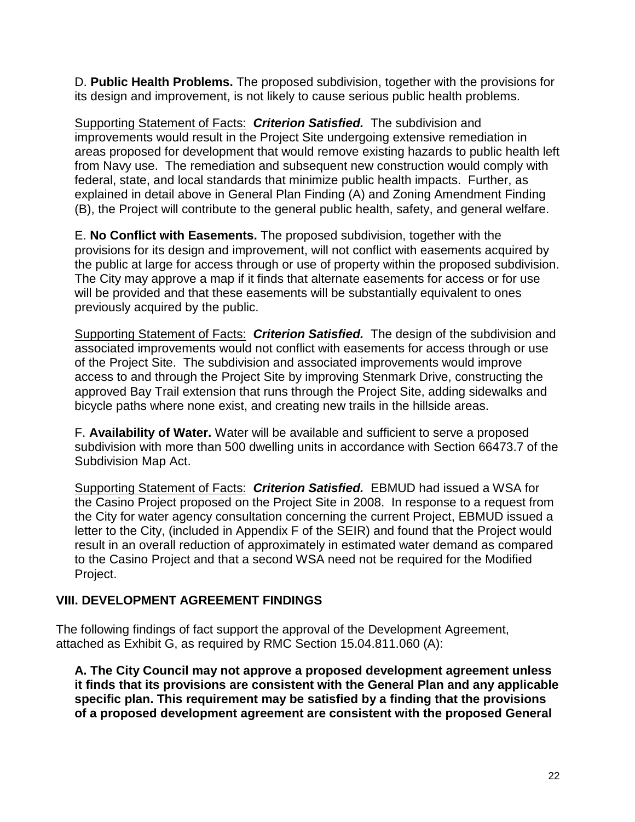D. **Public Health Problems.** The proposed subdivision, together with the provisions for its design and improvement, is not likely to cause serious public health problems.

Supporting Statement of Facts: *Criterion Satisfied.* The subdivision and improvements would result in the Project Site undergoing extensive remediation in areas proposed for development that would remove existing hazards to public health left from Navy use. The remediation and subsequent new construction would comply with federal, state, and local standards that minimize public health impacts. Further, as explained in detail above in General Plan Finding (A) and Zoning Amendment Finding (B), the Project will contribute to the general public health, safety, and general welfare.

E. **No Conflict with Easements.** The proposed subdivision, together with the provisions for its design and improvement, will not conflict with easements acquired by the public at large for access through or use of property within the proposed subdivision. The City may approve a map if it finds that alternate easements for access or for use will be provided and that these easements will be substantially equivalent to ones previously acquired by the public.

Supporting Statement of Facts: *Criterion Satisfied.* The design of the subdivision and associated improvements would not conflict with easements for access through or use of the Project Site. The subdivision and associated improvements would improve access to and through the Project Site by improving Stenmark Drive, constructing the approved Bay Trail extension that runs through the Project Site, adding sidewalks and bicycle paths where none exist, and creating new trails in the hillside areas.

F. **Availability of Water.** Water will be available and sufficient to serve a proposed subdivision with more than 500 dwelling units in accordance with Section 66473.7 of the Subdivision Map Act.

Supporting Statement of Facts: *Criterion Satisfied.* EBMUD had issued a WSA for the Casino Project proposed on the Project Site in 2008. In response to a request from the City for water agency consultation concerning the current Project, EBMUD issued a letter to the City, (included in Appendix F of the SEIR) and found that the Project would result in an overall reduction of approximately in estimated water demand as compared to the Casino Project and that a second WSA need not be required for the Modified Project.

## **VIII. DEVELOPMENT AGREEMENT FINDINGS**

The following findings of fact support the approval of the Development Agreement, attached as Exhibit G, as required by RMC Section 15.04.811.060 (A):

**A. The City Council may not approve a proposed development agreement unless it finds that its provisions are consistent with the General Plan and any applicable specific plan. This requirement may be satisfied by a finding that the provisions of a proposed development agreement are consistent with the proposed General**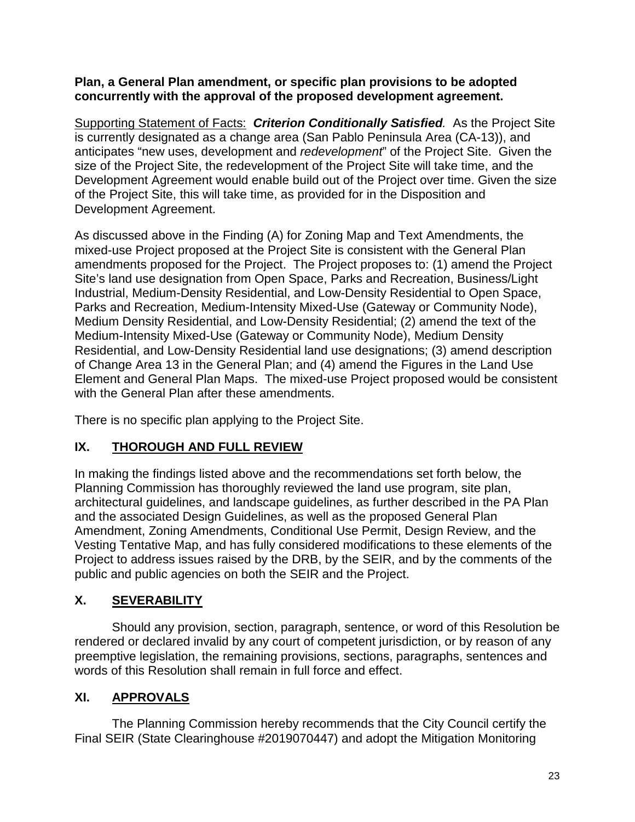### **Plan, a General Plan amendment, or specific plan provisions to be adopted concurrently with the approval of the proposed development agreement.**

Supporting Statement of Facts: *Criterion Conditionally Satisfied.* As the Project Site is currently designated as a change area (San Pablo Peninsula Area (CA-13)), and anticipates "new uses, development and *redevelopment*" of the Project Site. Given the size of the Project Site, the redevelopment of the Project Site will take time, and the Development Agreement would enable build out of the Project over time. Given the size of the Project Site, this will take time, as provided for in the Disposition and Development Agreement.

As discussed above in the Finding (A) for Zoning Map and Text Amendments, the mixed-use Project proposed at the Project Site is consistent with the General Plan amendments proposed for the Project. The Project proposes to: (1) amend the Project Site's land use designation from Open Space, Parks and Recreation, Business/Light Industrial, Medium-Density Residential, and Low-Density Residential to Open Space, Parks and Recreation, Medium-Intensity Mixed-Use (Gateway or Community Node), Medium Density Residential, and Low-Density Residential; (2) amend the text of the Medium-Intensity Mixed-Use (Gateway or Community Node), Medium Density Residential, and Low-Density Residential land use designations; (3) amend description of Change Area 13 in the General Plan; and (4) amend the Figures in the Land Use Element and General Plan Maps. The mixed-use Project proposed would be consistent with the General Plan after these amendments.

There is no specific plan applying to the Project Site.

# **IX. THOROUGH AND FULL REVIEW**

In making the findings listed above and the recommendations set forth below, the Planning Commission has thoroughly reviewed the land use program, site plan, architectural guidelines, and landscape guidelines, as further described in the PA Plan and the associated Design Guidelines, as well as the proposed General Plan Amendment, Zoning Amendments, Conditional Use Permit, Design Review, and the Vesting Tentative Map, and has fully considered modifications to these elements of the Project to address issues raised by the DRB, by the SEIR, and by the comments of the public and public agencies on both the SEIR and the Project.

# **X. SEVERABILITY**

Should any provision, section, paragraph, sentence, or word of this Resolution be rendered or declared invalid by any court of competent jurisdiction, or by reason of any preemptive legislation, the remaining provisions, sections, paragraphs, sentences and words of this Resolution shall remain in full force and effect.

# **XI. APPROVALS**

The Planning Commission hereby recommends that the City Council certify the Final SEIR (State Clearinghouse #2019070447) and adopt the Mitigation Monitoring